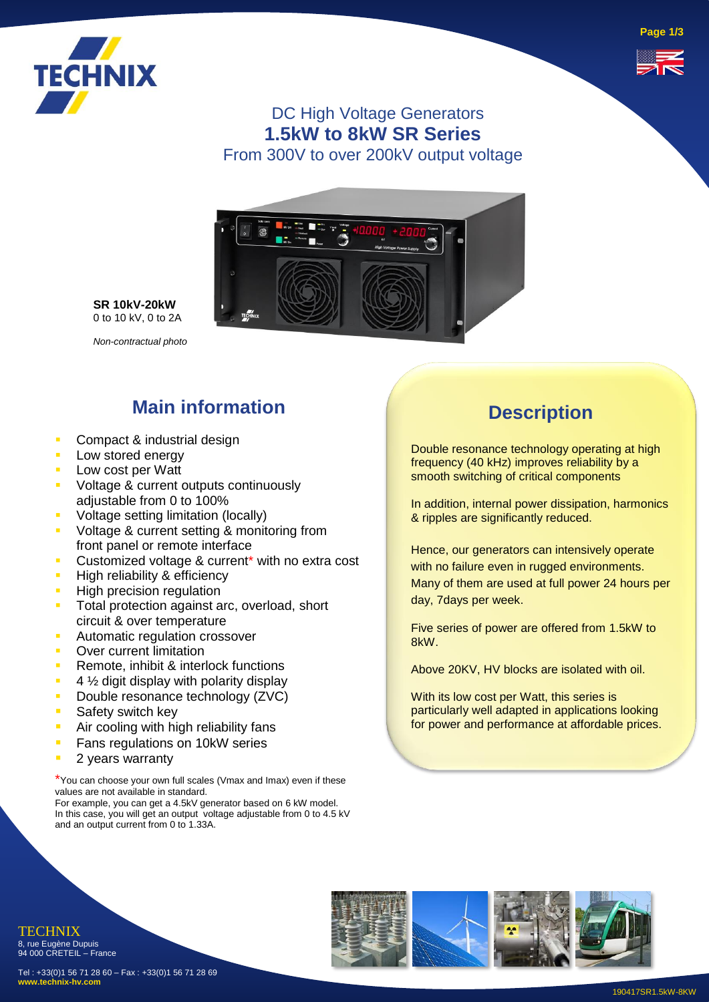



### DC High Voltage Generators **1.5kW to 8kW SR Series** From 300V to over 200kV output voltage



**SR 10kV-20kW** 0 to 10 kV, 0 to 2A

*Non-contractual photo*

## **Main information**

- Compact & industrial design
- **E** Low stored energy
- Low cost per Watt
- Voltage & current outputs continuously adjustable from 0 to 100%
- **•** Voltage setting limitation (locally)
- **Voltage & current setting & monitoring from** front panel or remote interface
- **EXECUSTOMIZED VOLTAGE & current\* with no extra cost**
- High reliability & efficiency
- **EXEC** High precision regulation
- Total protection against arc, overload, short circuit & over temperature
- **E** Automatic regulation crossover
- **Over current limitation**
- **EXECUTE:** Remote, inhibit & interlock functions
- $\blacksquare$  4  $\frac{1}{2}$  digit display with polarity display
- Double resonance technology (ZVC)
- **B** Safety switch key
- **E** Air cooling with high reliability fans
- Fans regulations on 10kW series
- 2 years warranty

\*You can choose your own full scales (Vmax and Imax) even if these values are not available in standard.

For example, you can get a 4.5kV generator based on 6 kW model. In this case, you will get an output voltage adjustable from 0 to 4.5 kV and an output current from 0 to 1.33A.

### **Description**

Double resonance technology operating at high frequency (40 kHz) improves reliability by a smooth switching of critical components

In addition, internal power dissipation, harmonics & ripples are significantly reduced.

Hence, our generators can intensively operate with no failure even in rugged environments. Many of them are used at full power 24 hours per day, 7days per week.

Five series of power are offered from 1.5kW to 8kW.

Above 20KV, HV blocks are isolated with oil.

With its low cost per Watt, this series is particularly well adapted in applications looking for power and performance at affordable prices.



Tel : +33(0)1 56 71 28 60 – Fax : +33(0)1 56 71 28 69 **www.technix-hv.com**

TECHNIX 8, rue Eugène Dupuis 94 000 CRETEIL – France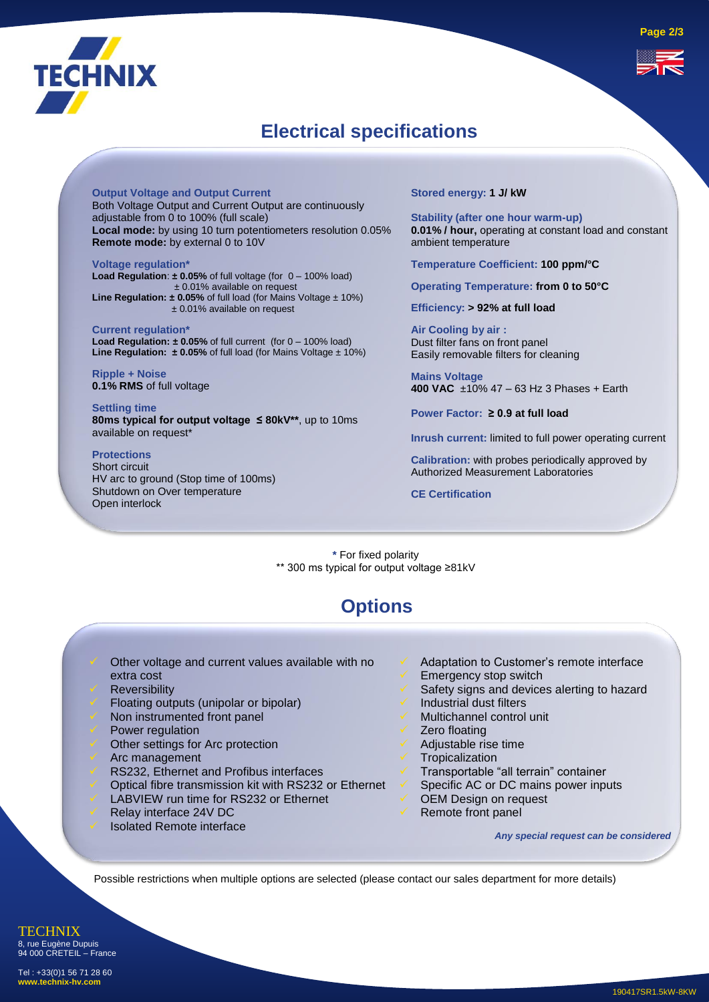

### **Electrical specifications**

**Output Voltage and Output Current** Both Voltage Output and Current Output are continuously adjustable from 0 to 100% (full scale) **Local mode:** by using 10 turn potentiometers resolution 0.05% **Remote mode:** by external 0 to 10V

**Voltage regulation\* Load Regulation**: **± 0.05%** of full voltage (for 0 – 100% load) ± 0.01% available on request **Line Regulation: ± 0.05%** of full load (for Mains Voltage ± 10%) ± 0.01% available on request

**Current regulation\* Load Regulation: ± 0.05%** of full current (for 0 – 100% load) **Line Regulation:**  $\pm 0.05\%$  of full load (for Mains Voltage  $\pm 10\%$ )

**Ripple + Noise 0.1% RMS** of full voltage

**Settling time 80ms typical for output voltage ≤ 80kV\*\***, up to 10ms available on request\*

#### **Protections**

Short circuit HV arc to ground (Stop time of 100ms) Shutdown on Over temperature Open interlock

**Stored energy: 1 J/ kW**

**Stability (after one hour warm-up) 0.01% / hour,** operating at constant load and constant ambient temperature

**Temperature Coefficient: 100 ppm/°C**

**Operating Temperature: from 0 to 50°C**

**Efficiency: > 92% at full load** 

**Air Cooling by air :** Dust filter fans on front panel Easily removable filters for cleaning

**Mains Voltage 400 VAC** ±10% 47 – 63 Hz 3 Phases + Earth

**Power Factor: ≥ 0.9 at full load**

**Inrush current:** limited to full power operating current

**Calibration:** with probes periodically approved by Authorized Measurement Laboratories

**CE Certification**

**\*** For fixed polarity \*\* 300 ms typical for output voltage ≥81kV

### **Options**

- Other voltage and current values available with no extra cost
- **Reversibility**
- Floating outputs (unipolar or bipolar)
- Non instrumented front panel
- Power regulation
- Other settings for Arc protection
- ✓ Arc management
- RS232, Ethernet and Profibus interfaces
- ✓ Optical fibre transmission kit with RS232 or Ethernet
- LABVIEW run time for RS232 or Ethernet
- Relay interface 24V DC
- Isolated Remote interface
- Adaptation to Customer's remote interface
- Emergency stop switch
- Safety signs and devices alerting to hazard
- Industrial dust filters
- ✓ Multichannel control unit
- Zero floating
- ✓ Adjustable rise time
- **Tropicalization**
- ✓ Transportable "all terrain" container
- Specific AC or DC mains power inputs
- OEM Design on request
- Remote front panel

*Any special request can be considered* 

Possible restrictions when multiple options are selected (please contact our sales department for more details)

**TECHNIX** 8, rue Eugène Dupuis 94 000 CRETEIL – France